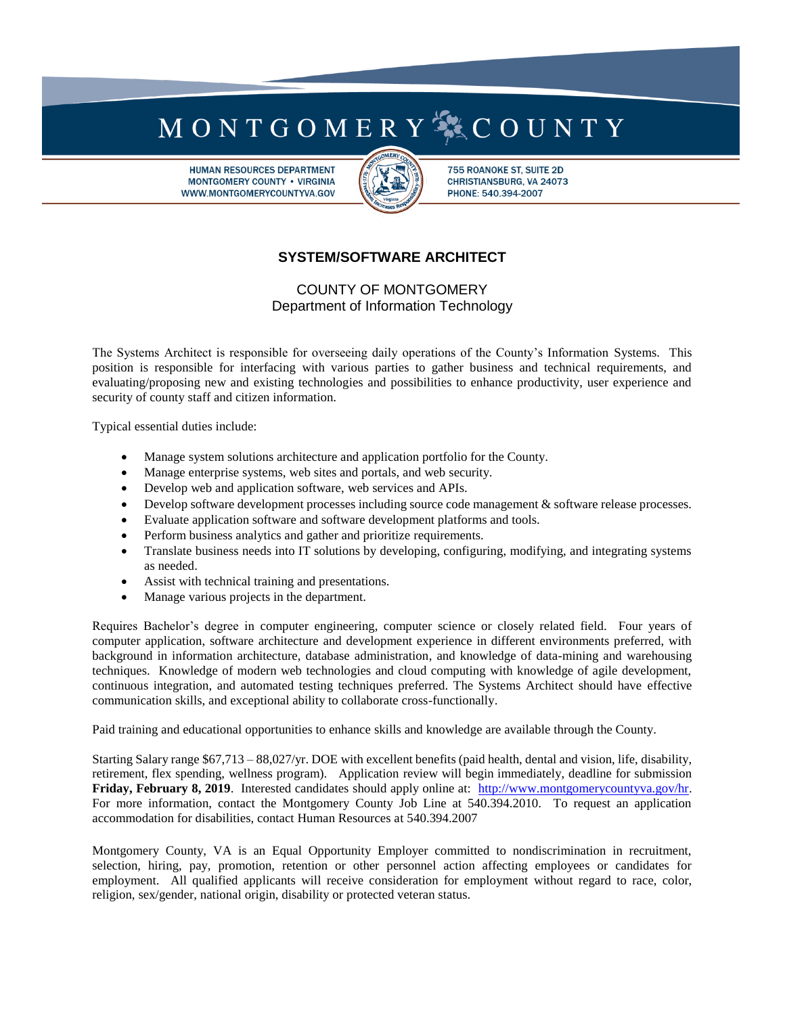## MONTGOMERY<sup>S</sup>XCOUNTY

**HUMAN RESOURCES DEPARTMENT MONTGOMERY COUNTY . VIRGINIA** WWW.MONTGOMERYCOUNTYVA.GOV



755 ROANOKE ST, SUITE 2D CHRISTIANSBURG, VA 24073 PHONE: 540.394-2007

## **SYSTEM/SOFTWARE ARCHITECT**

COUNTY OF MONTGOMERY Department of Information Technology

The Systems Architect is responsible for overseeing daily operations of the County's Information Systems. This position is responsible for interfacing with various parties to gather business and technical requirements, and evaluating/proposing new and existing technologies and possibilities to enhance productivity, user experience and security of county staff and citizen information.

Typical essential duties include:

- Manage system solutions architecture and application portfolio for the County.
- Manage enterprise systems, web sites and portals, and web security.
- Develop web and application software, web services and APIs.
- Develop software development processes including source code management & software release processes.
- Evaluate application software and software development platforms and tools.
- Perform business analytics and gather and prioritize requirements.
- Translate business needs into IT solutions by developing, configuring, modifying, and integrating systems as needed.
- Assist with technical training and presentations.
- Manage various projects in the department.

Requires Bachelor's degree in computer engineering, computer science or closely related field. Four years of computer application, software architecture and development experience in different environments preferred, with background in information architecture, database administration, and knowledge of data-mining and warehousing techniques. Knowledge of modern web technologies and cloud computing with knowledge of agile development, continuous integration, and automated testing techniques preferred. The Systems Architect should have effective communication skills, and exceptional ability to collaborate cross-functionally.

Paid training and educational opportunities to enhance skills and knowledge are available through the County.

Starting Salary range \$67,713 – 88,027/yr. DOE with excellent benefits (paid health, dental and vision, life, disability, retirement, flex spending, wellness program). Application review will begin immediately, deadline for submission **Friday, February 8, 2019**. Interested candidates should apply online at: [http://www.montgomerycountyva.gov/hr.](http://www.montgomerycountyva.gov/hr) For more information, contact the Montgomery County Job Line at 540.394.2010. To request an application accommodation for disabilities, contact Human Resources at 540.394.2007

Montgomery County, VA is an Equal Opportunity Employer committed to nondiscrimination in recruitment, selection, hiring, pay, promotion, retention or other personnel action affecting employees or candidates for employment. All qualified applicants will receive consideration for employment without regard to race, color, religion, sex/gender, national origin, disability or protected veteran status.